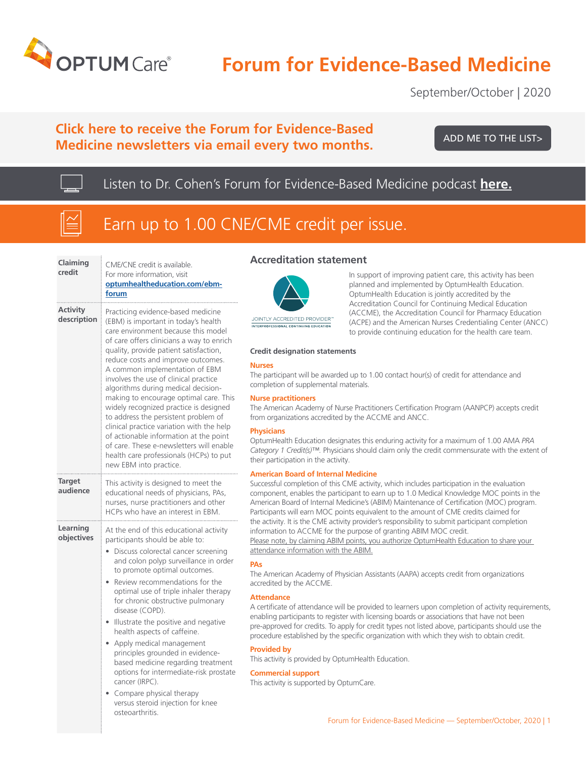

# **Forum for Evidence-Based Medicine**

September/October | 2020

# **Click here to receive the Forum for Evidence-Based Medicine newsletters via email every two months.**

[ADD ME TO THE LIST>](https://www.optumhealtheducation.com/ebm-forum-list )

Listen to Dr. Cohen's Forum for Evidence-Based Medicine podcast **[here.](https://cpedupodcast.s3.amazonaws.com/POD_FEBM_Sept_Oct_092020.mp3)**



# Earn up to 1.00 CNE/CME credit per issue.

| Claiming<br>credit        | CME/CNE credit is available.<br>For more information, visit<br>optumhealtheducation.com/ebm-<br>forum                                                                                                                                                                                                                                                                                                                                                                                                                                                                                                                                                                                                |
|---------------------------|------------------------------------------------------------------------------------------------------------------------------------------------------------------------------------------------------------------------------------------------------------------------------------------------------------------------------------------------------------------------------------------------------------------------------------------------------------------------------------------------------------------------------------------------------------------------------------------------------------------------------------------------------------------------------------------------------|
| Activity<br>description   | Practicing evidence-based medicine<br>(EBM) is important in today's health<br>care environment because this model<br>of care offers clinicians a way to enrich<br>quality, provide patient satisfaction,<br>reduce costs and improve outcomes.<br>A common implementation of EBM<br>involves the use of clinical practice<br>algorithms during medical decision-<br>making to encourage optimal care. This<br>widely recognized practice is designed<br>to address the persistent problem of<br>clinical practice variation with the help<br>of actionable information at the point<br>of care. These e-newsletters will enable<br>health care professionals (HCPs) to put<br>new EBM into practice. |
| <b>Target</b><br>audience | This activity is designed to meet the<br>educational needs of physicians, PAs,<br>nurses, nurse practitioners and other<br>HCPs who have an interest in EBM.                                                                                                                                                                                                                                                                                                                                                                                                                                                                                                                                         |
| Learning<br>objectives    | At the end of this educational activity<br>participants should be able to:<br>Discuss colorectal cancer screening<br>and colon polyp surveillance in order<br>to promote optimal outcomes.<br>Review recommendations for the<br>optimal use of triple inhaler therapy<br>for chronic obstructive pulmonary<br>disease (COPD).<br>Illustrate the positive and negative<br>health aspects of caffeine.<br>Apply medical management<br>principles grounded in evidence-<br>based medicine regarding treatment<br>options for intermediate-risk prostate<br>cancer (IRPC).<br>Compare physical therapy<br>versus steroid injection for knee<br>osteoarthritis.                                           |

### **Accreditation statement**



JOINTLY ACCREDITED PROVIDER' INTERPROFESSIONAL CONTINUING EDUCATION

In support of improving patient care, this activity has been planned and implemented by OptumHealth Education. OptumHealth Education is jointly accredited by the Accreditation Council for Continuing Medical Education (ACCME), the Accreditation Council for Pharmacy Education (ACPE) and the American Nurses Credentialing Center (ANCC) to provide continuing education for the health care team.

#### **Credit designation statements**

#### **Nurses**

The participant will be awarded up to 1.00 contact hour(s) of credit for attendance and completion of supplemental materials.

#### **Nurse practitioners**

The American Academy of Nurse Practitioners Certification Program (AANPCP) accepts credit from organizations accredited by the ACCME and ANCC.

#### **Physicians**

OptumHealth Education designates this enduring activity for a maximum of 1.00 AMA *PRA Category 1 Credit(s)™.* Physicians should claim only the credit commensurate with the extent of their participation in the activity.

#### **American Board of Internal Medicine**

Successful completion of this CME activity, which includes participation in the evaluation component, enables the participant to earn up to 1.0 Medical Knowledge MOC points in the American Board of Internal Medicine's (ABIM) Maintenance of Certification (MOC) program. Participants will earn MOC points equivalent to the amount of CME credits claimed for the activity. It is the CME activity provider's responsibility to submit participant completion information to ACCME for the purpose of granting ABIM MOC credit. Please note, by claiming ABIM points, you authorize OptumHealth Education to share your attendance information with the ABIM.

#### **PAs**

The American Academy of Physician Assistants (AAPA) accepts credit from organizations accredited by the ACCME.

#### **Attendance**

A certificate of attendance will be provided to learners upon completion of activity requirements, enabling participants to register with licensing boards or associations that have not been pre-approved for credits. To apply for credit types not listed above, participants should use the procedure established by the specific organization with which they wish to obtain credit.

#### **Provided by**

This activity is provided by OptumHealth Education.

#### **Commercial support**

This activity is supported by OptumCare.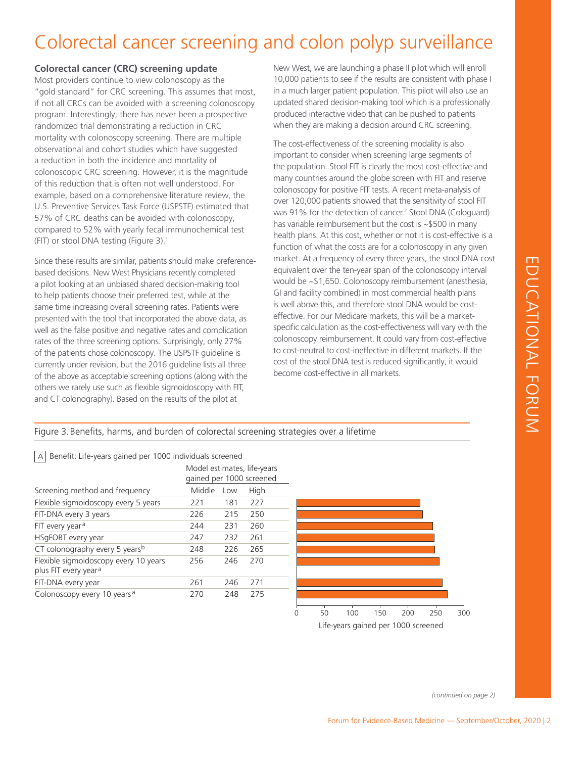# Colorectal cancer screening and colon polyp surveillance

## **Colorectal cancer (CRC) screening update**

Most providers continue to view colonoscopy as the "gold standard" for CRC screening. This assumes that most, if not all CRCs can be avoided with a screening colonoscopy program. Interestingly, there has never been a prospective randomized trial demonstrating a reduction in CRC mortality with colonoscopy screening. There are multiple observational and cohort studies which have suggested a reduction in both the incidence and mortality of colonoscopic CRC screening. However, it is the magnitude of this reduction that is often not well understood. For example, based on a comprehensive literature review, the U.S. Preventive Services Task Force (USPSTF) estimated that 57% of CRC deaths can be avoided with colonoscopy, compared to 52% with yearly fecal immunochemical test (FIT) or stool DNA testing (Figure 3).1

Since these results are similar, patients should make preferencebased decisions. New West Physicians recently completed a pilot looking at an unbiased shared decision-making tool to help patients choose their preferred test, while at the same time increasing overall screening rates. Patients were presented with the tool that incorporated the above data, as well as the false positive and negative rates and complication rates of the three screening options. Surprisingly, only 27% of the patients chose colonoscopy. The USPSTF guideline is currently under revision, but the 2016 guideline lists all three of the above as acceptable screening options (along with the others we rarely use such as flexible sigmoidoscopy with FIT, and CT colonography). Based on the results of the pilot at

New West, we are launching a phase II pilot which will enroll 10,000 patients to see if the results are consistent with phase I in a much larger patient population. This pilot will also use an updated shared decision-making tool which is a professionally produced interactive video that can be pushed to patients when they are making a decision around CRC screening.

The cost-effectiveness of the screening modality is also important to consider when screening large segments of the population. Stool FIT is clearly the most cost-effective and many countries around the globe screen with FIT and reserve colonoscopy for positive FIT tests. A recent meta-analysis of over 120,000 patients showed that the sensitivity of stool FIT was 91% for the detection of cancer.<sup>2</sup> Stool DNA (Cologuard) has variable reimbursement but the cost is ~\$500 in many health plans. At this cost, whether or not it is cost-effective is a function of what the costs are for a colonoscopy in any given market. At a frequency of every three years, the stool DNA cost equivalent over the ten-year span of the colonoscopy interval would be ~\$1,650. Colonoscopy reimbursement (anesthesia, GI and facility combined) in most commercial health plans is well above this, and therefore stool DNA would be costeffective. For our Medicare markets, this will be a marketspecific calculation as the cost-effectiveness will vary with the colonoscopy reimbursement. It could vary from cost-effective to cost-neutral to cost-ineffective in different markets. If the cost of the stool DNA test is reduced significantly, it would become cost-effective in all markets.

## Figure 3.Benefits, harms, and burden of colorectal screening strategies over a lifetime

 $|A|$  Benefit: Life-years gained per 1000 individuals screened

|                                                                           | gained per 1000 screened |     | Model estimates, life-years |
|---------------------------------------------------------------------------|--------------------------|-----|-----------------------------|
| Screening method and frequency                                            | Middle                   | Low | High                        |
| Flexible sigmoidoscopy every 5 years                                      | 221                      | 181 | 227                         |
| FIT-DNA every 3 years                                                     | 226                      | 215 | 250                         |
| FIT every year <sup>a</sup>                                               | 244                      | 231 | 260                         |
| HSgFOBT every year                                                        | 247                      | 232 | 261                         |
| CT colonography every 5 years <sup>b</sup>                                | 248                      | 226 | 265                         |
| Flexible sigmoidoscopy every 10 years<br>plus FIT every year <sup>a</sup> | 256                      | 246 | 270                         |
| FIT-DNA every year                                                        | 261                      | 246 | 271                         |
| Colonoscopy every 10 years <sup>a</sup>                                   | 270                      | 248 | 275                         |



*(continued on page 2)*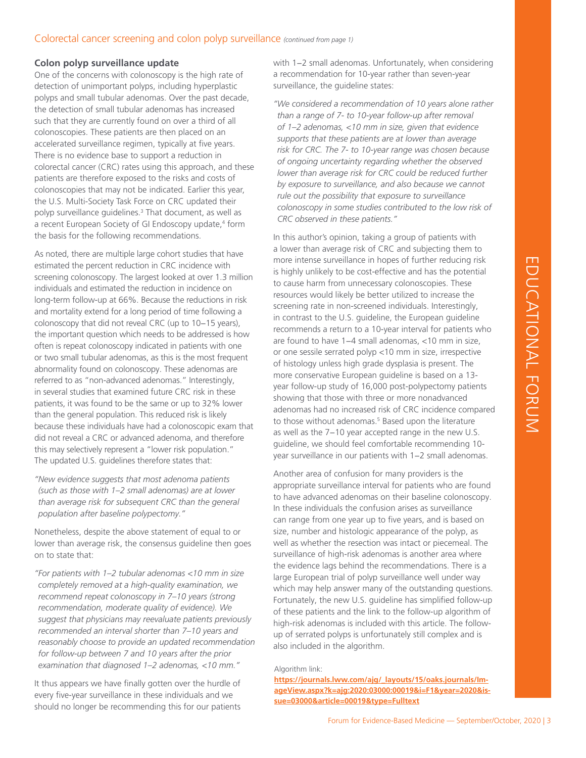## Colorectal cancer screening and colon polyp surveillance *(continued from page 1)*

## **Colon polyp surveillance update**

One of the concerns with colonoscopy is the high rate of detection of unimportant polyps, including hyperplastic polyps and small tubular adenomas. Over the past decade, the detection of small tubular adenomas has increased such that they are currently found on over a third of all colonoscopies. These patients are then placed on an accelerated surveillance regimen, typically at five years. There is no evidence base to support a reduction in colorectal cancer (CRC) rates using this approach, and these patients are therefore exposed to the risks and costs of colonoscopies that may not be indicated. Earlier this year, the U.S. Multi-Society Task Force on CRC updated their polyp surveillance guidelines.<sup>3</sup> That document, as well as a recent European Society of GI Endoscopy update,<sup>4</sup> form the basis for the following recommendations.

As noted, there are multiple large cohort studies that have estimated the percent reduction in CRC incidence with screening colonoscopy. The largest looked at over 1.3 million individuals and estimated the reduction in incidence on long-term follow-up at 66%. Because the reductions in risk and mortality extend for a long period of time following a colonoscopy that did not reveal CRC (up to 10−15 years), the important question which needs to be addressed is how often is repeat colonoscopy indicated in patients with one or two small tubular adenomas, as this is the most frequent abnormality found on colonoscopy. These adenomas are referred to as "non-advanced adenomas." Interestingly, in several studies that examined future CRC risk in these patients, it was found to be the same or up to 32% lower than the general population. This reduced risk is likely because these individuals have had a colonoscopic exam that did not reveal a CRC or advanced adenoma, and therefore this may selectively represent a "lower risk population." The updated U.S. guidelines therefore states that:

*"New evidence suggests that most adenoma patients (such as those with 1–2 small adenomas) are at lower than average risk for subsequent CRC than the general population after baseline polypectomy."*

Nonetheless, despite the above statement of equal to or lower than average risk, the consensus guideline then goes on to state that:

*"For patients with 1–2 tubular adenomas <10 mm in size completely removed at a high-quality examination, we recommend repeat colonoscopy in 7–10 years (strong recommendation, moderate quality of evidence). We suggest that physicians may reevaluate patients previously recommended an interval shorter than 7–10 years and reasonably choose to provide an updated recommendation for follow-up between 7 and 10 years after the prior examination that diagnosed 1–2 adenomas, <10 mm."*

It thus appears we have finally gotten over the hurdle of every five-year surveillance in these individuals and we should no longer be recommending this for our patients

with 1−2 small adenomas. Unfortunately, when considering a recommendation for 10-year rather than seven-year surveillance, the guideline states:

*"We considered a recommendation of 10 years alone rather than a range of 7- to 10-year follow-up after removal of 1–2 adenomas, <10 mm in size, given that evidence supports that these patients are at lower than average risk for CRC. The 7- to 10-year range was chosen because of ongoing uncertainty regarding whether the observed lower than average risk for CRC could be reduced further by exposure to surveillance, and also because we cannot rule out the possibility that exposure to surveillance colonoscopy in some studies contributed to the low risk of CRC observed in these patients."*

Invenience: in hopes of threme reducing risk<br>
ty to be cost-effective and has the potential<br>
from unnecessary colonoscopies. These<br>
dlikely be better utilized to increase the<br>
in non-screened individuals. Interestingly,<br>
h In this author's opinion, taking a group of patients with a lower than average risk of CRC and subjecting them to more intense surveillance in hopes of further reducing risk is highly unlikely to be cost-effective and has the potential to cause harm from unnecessary colonoscopies. These resources would likely be better utilized to increase the screening rate in non-screened individuals. Interestingly, in contrast to the U.S. guideline, the European guideline recommends a return to a 10-year interval for patients who are found to have 1−4 small adenomas, <10 mm in size, or one sessile serrated polyp <10 mm in size, irrespective of histology unless high grade dysplasia is present. The more conservative European guideline is based on a 13 year follow-up study of 16,000 post-polypectomy patients showing that those with three or more nonadvanced adenomas had no increased risk of CRC incidence compared to those without adenomas.<sup>5</sup> Based upon the literature as well as the 7−10 year accepted range in the new U.S. guideline, we should feel comfortable recommending 10 year surveillance in our patients with 1−2 small adenomas.

Another area of confusion for many providers is the appropriate surveillance interval for patients who are found to have advanced adenomas on their baseline colonoscopy. In these individuals the confusion arises as surveillance can range from one year up to five years, and is based on size, number and histologic appearance of the polyp, as well as whether the resection was intact or piecemeal. The surveillance of high-risk adenomas is another area where the evidence lags behind the recommendations. There is a large European trial of polyp surveillance well under way which may help answer many of the outstanding questions. Fortunately, the new U.S. guideline has simplified follow-up of these patients and the link to the follow-up algorithm of high-risk adenomas is included with this article. The followup of serrated polyps is unfortunately still complex and is also included in the algorithm.

#### Algorithm link:

**[https://journals.lww.com/ajg/\\_layouts/15/oaks.journals/Im](https://journals.lww.com/ajg/_layouts/15/oaks.journals/ImageView.aspx?k=ajg:2020:03000:00019&i=F1&ye)[ageView.aspx?k=ajg:2020:03000:00019&i=F1&year=2020&is](https://journals.lww.com/ajg/_layouts/15/oaks.journals/ImageView.aspx?k=ajg:2020:03000:00019&i=F1&ye)[sue=03000&article=00019&type=Fulltext](https://journals.lww.com/ajg/_layouts/15/oaks.journals/ImageView.aspx?k=ajg:2020:03000:00019&i=F1&ye)**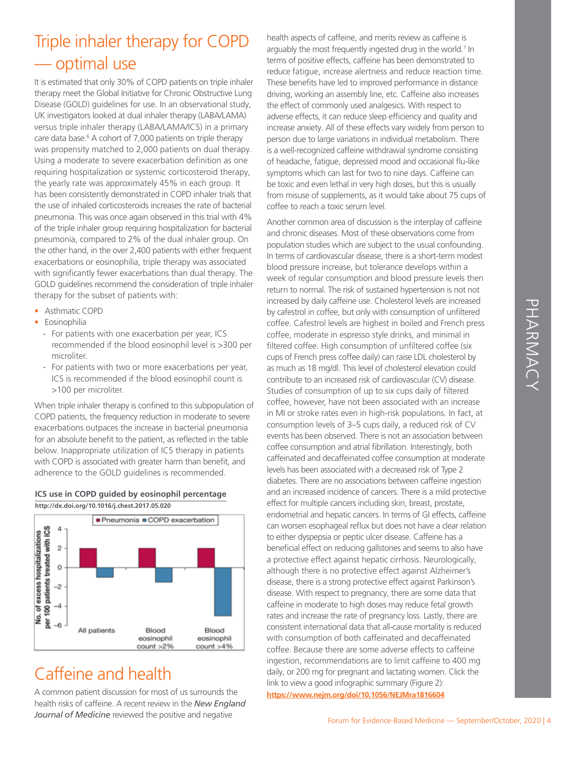# PHARMACY PHARMACY

# Triple inhaler therapy for COPD — optimal use

It is estimated that only 30% of COPD patients on triple inhaler therapy meet the Global Initiative for Chronic Obstructive Lung Disease (GOLD) guidelines for use. In an observational study, UK investigators looked at dual inhaler therapy (LABA/LAMA) versus triple inhaler therapy (LABA/LAMA/ICS) in a primary care data base.<sup>6</sup> A cohort of 7,000 patients on triple therapy was propensity matched to 2,000 patients on dual therapy. Using a moderate to severe exacerbation definition as one requiring hospitalization or systemic corticosteroid therapy, the yearly rate was approximately 45% in each group. It has been consistently demonstrated in COPD inhaler trials that the use of inhaled corticosteroids increases the rate of bacterial pneumonia. This was once again observed in this trial with 4% of the triple inhaler group requiring hospitalization for bacterial pneumonia, compared to 2% of the dual inhaler group. On the other hand, in the over 2,400 patients with either frequent exacerbations or eosinophilia, triple therapy was associated with significantly fewer exacerbations than dual therapy. The GOLD guidelines recommend the consideration of triple inhaler therapy for the subset of patients with:

- Asthmatic COPD
- Eosinophilia
	- For patients with one exacerbation per year, ICS recommended if the blood eosinophil level is >300 per microliter.
	- For patients with two or more exacerbations per year, ICS is recommended if the blood eosinophil count is >100 per microliter.

When triple inhaler therapy is confined to this subpopulation of COPD patients, the frequency reduction in moderate to severe exacerbations outpaces the increase in bacterial pneumonia for an absolute benefit to the patient, as reflected in the table below. Inappropriate utilization of ICS therapy in patients with COPD is associated with greater harm than benefit, and adherence to the GOLD guidelines is recommended.





# Caffeine and health

A common patient discussion for most of us surrounds the health risks of caffeine. A recent review in the *New England Journal of Medicine* reviewed the positive and negative

health aspects of caffeine, and merits review as caffeine is arguably the most frequently ingested drug in the world.<sup>7</sup> In terms of positive effects, caffeine has been demonstrated to reduce fatigue, increase alertness and reduce reaction time. These benefits have led to improved performance in distance driving, working an assembly line, etc. Caffeine also increases the effect of commonly used analgesics. With respect to adverse effects, it can reduce sleep efficiency and quality and increase anxiety. All of these effects vary widely from person to person due to large variations in individual metabolism. There is a well-recognized caffeine withdrawal syndrome consisting of headache, fatigue, depressed mood and occasional flu-like symptoms which can last for two to nine days. Caffeine can be toxic and even lethal in very high doses, but this is usually from misuse of supplements, as it would take about 75 cups of coffee to reach a toxic serum level.

Another common area of discussion is the interplay of caffeine and chronic diseases. Most of these observations come from population studies which are subject to the usual confounding. In terms of cardiovascular disease, there is a short-term modest blood pressure increase, but tolerance develops within a week of regular consumption and blood pressure levels then return to normal. The risk of sustained hypertension is not not increased by daily caffeine use. Cholesterol levels are increased by cafestrol in coffee, but only with consumption of unfiltered coffee. Cafestrol levels are highest in boiled and French press coffee, moderate in espresso style drinks, and minimal in filtered coffee. High consumption of unfiltered coffee (six cups of French press coffee daily) can raise LDL cholesterol by as much as 18 mg/dl. This level of cholesterol elevation could contribute to an increased risk of cardiovascular (CV) disease. Studies of consumption of up to six cups daily of filtered coffee, however, have not been associated with an increase in MI or stroke rates even in high-risk populations. In fact, at consumption levels of 3–5 cups daily, a reduced risk of CV events has been observed. There is not an association between coffee consumption and atrial fibrillation. Interestingly, both caffeinated and decaffeinated coffee consumption at moderate levels has been associated with a decreased risk of Type 2 diabetes. There are no associations between caffeine ingestion and an increased incidence of cancers. There is a mild protective effect for multiple cancers including skin, breast, prostate, endometrial and hepatic cancers. In terms of GI effects, caffeine can worsen esophageal reflux but does not have a clear relation to either dyspepsia or peptic ulcer disease. Caffeine has a beneficial effect on reducing gallstones and seems to also have a protective effect against hepatic cirrhosis. Neurologically, although there is no protective effect against Alzheimer's disease, there is a strong protective effect against Parkinson's disease. With respect to pregnancy, there are some data that caffeine in moderate to high doses may reduce fetal growth rates and increase the rate of pregnancy loss. Lastly, there are consistent international data that all-cause mortality is reduced with consumption of both caffeinated and decaffeinated coffee. Because there are some adverse effects to caffeine ingestion, recommendations are to limit caffeine to 400 mg daily, or 200 mg for pregnant and lactating women. Click the link to view a good infographic summary (Figure 2): **<https://www.nejm.org/doi/10.1056/NEJMra1816604>**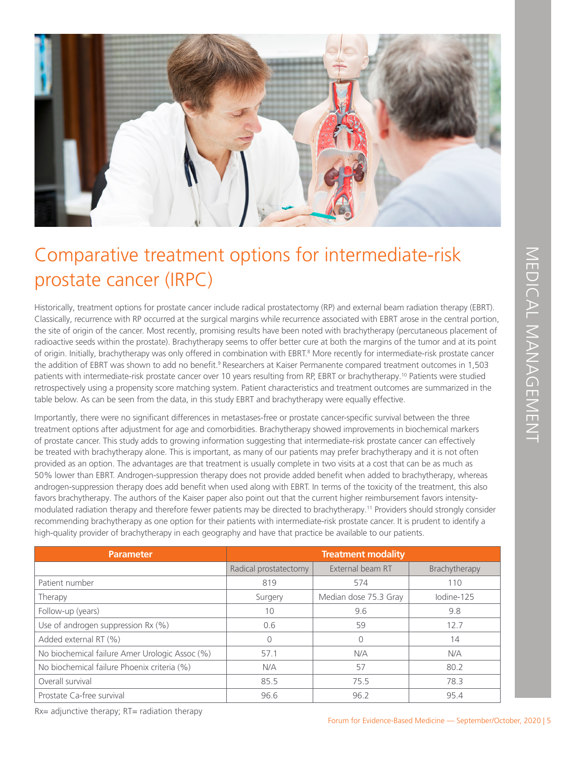

# Comparative treatment options for intermediate-risk prostate cancer (IRPC)

| Comparative treatment options for intermediate-risk                                                                                                                                                                                                                                                                                                                                                                                                                                                                                                                                                                                                                                                                                                                                                                                                                                                                                                                                                                                                                                                                                                                                                                                         |                       |                           |               |
|---------------------------------------------------------------------------------------------------------------------------------------------------------------------------------------------------------------------------------------------------------------------------------------------------------------------------------------------------------------------------------------------------------------------------------------------------------------------------------------------------------------------------------------------------------------------------------------------------------------------------------------------------------------------------------------------------------------------------------------------------------------------------------------------------------------------------------------------------------------------------------------------------------------------------------------------------------------------------------------------------------------------------------------------------------------------------------------------------------------------------------------------------------------------------------------------------------------------------------------------|-----------------------|---------------------------|---------------|
| prostate cancer (IRPC)                                                                                                                                                                                                                                                                                                                                                                                                                                                                                                                                                                                                                                                                                                                                                                                                                                                                                                                                                                                                                                                                                                                                                                                                                      |                       |                           |               |
| Historically, treatment options for prostate cancer include radical prostatectomy (RP) and external beam radiation therapy (EBRT).<br>Classically, recurrence with RP occurred at the surgical margins while recurrence associated with EBRT arose in the central portion,<br>the site of origin of the cancer. Most recently, promising results have been noted with brachytherapy (percutaneous placement of<br>radioactive seeds within the prostate). Brachytherapy seems to offer better cure at both the margins of the tumor and at its point<br>of origin. Initially, brachytherapy was only offered in combination with EBRT. <sup>8</sup> More recently for intermediate-risk prostate cancer<br>the addition of EBRT was shown to add no benefit. <sup>9</sup> Researchers at Kaiser Permanente compared treatment outcomes in 1,503<br>patients with intermediate-risk prostate cancer over 10 years resulting from RP, EBRT or brachytherapy. <sup>10</sup> Patients were studied<br>retrospectively using a propensity score matching system. Patient characteristics and treatment outcomes are summarized in the<br>table below. As can be seen from the data, in this study EBRT and brachytherapy were equally effective. |                       |                           |               |
| Importantly, there were no significant differences in metastases-free or prostate cancer-specific survival between the three<br>treatment options after adjustment for age and comorbidities. Brachytherapy showed improvements in biochemical markers<br>of prostate cancer. This study adds to growing information suggesting that intermediate-risk prostate cancer can effectively                                                                                                                                                                                                                                                                                                                                                                                                                                                                                                                                                                                                                                                                                                                                                                                                                                                      |                       |                           |               |
| be treated with brachytherapy alone. This is important, as many of our patients may prefer brachytherapy and it is not often<br>provided as an option. The advantages are that treatment is usually complete in two visits at a cost that can be as much as<br>50% lower than EBRT. Androgen-suppression therapy does not provide added benefit when added to brachytherapy, whereas<br>androgen-suppression therapy does add benefit when used along with EBRT. In terms of the toxicity of the treatment, this also<br>favors brachytherapy. The authors of the Kaiser paper also point out that the current higher reimbursement favors intensity-<br>modulated radiation therapy and therefore fewer patients may be directed to brachytherapy. <sup>11</sup> Providers should strongly consider<br>recommending brachytherapy as one option for their patients with intermediate-risk prostate cancer. It is prudent to identify a<br>high-quality provider of brachytherapy in each geography and have that practice be available to our patients.                                                                                                                                                                                    |                       |                           |               |
| <b>Parameter</b>                                                                                                                                                                                                                                                                                                                                                                                                                                                                                                                                                                                                                                                                                                                                                                                                                                                                                                                                                                                                                                                                                                                                                                                                                            |                       | <b>Treatment modality</b> |               |
|                                                                                                                                                                                                                                                                                                                                                                                                                                                                                                                                                                                                                                                                                                                                                                                                                                                                                                                                                                                                                                                                                                                                                                                                                                             | Radical prostatectomy | External beam RT          | Brachytherapy |
| Patient number                                                                                                                                                                                                                                                                                                                                                                                                                                                                                                                                                                                                                                                                                                                                                                                                                                                                                                                                                                                                                                                                                                                                                                                                                              | 819                   | 574                       | 110           |
| Therapy                                                                                                                                                                                                                                                                                                                                                                                                                                                                                                                                                                                                                                                                                                                                                                                                                                                                                                                                                                                                                                                                                                                                                                                                                                     | Surgery               | Median dose 75.3 Gray     | lodine-125    |
| Follow-up (years)                                                                                                                                                                                                                                                                                                                                                                                                                                                                                                                                                                                                                                                                                                                                                                                                                                                                                                                                                                                                                                                                                                                                                                                                                           | 10                    | 9.6                       | 9.8           |
| Use of androgen suppression Rx (%)                                                                                                                                                                                                                                                                                                                                                                                                                                                                                                                                                                                                                                                                                                                                                                                                                                                                                                                                                                                                                                                                                                                                                                                                          | 0.6                   | 59                        | 12.7          |
| Added external RT (%)                                                                                                                                                                                                                                                                                                                                                                                                                                                                                                                                                                                                                                                                                                                                                                                                                                                                                                                                                                                                                                                                                                                                                                                                                       | 0                     | $\mathcal{O}$             | 14            |
| No biochemical failure Amer Urologic Assoc (%)                                                                                                                                                                                                                                                                                                                                                                                                                                                                                                                                                                                                                                                                                                                                                                                                                                                                                                                                                                                                                                                                                                                                                                                              | 57.1                  | N/A                       | N/A           |
| No biochemical failure Phoenix criteria (%)                                                                                                                                                                                                                                                                                                                                                                                                                                                                                                                                                                                                                                                                                                                                                                                                                                                                                                                                                                                                                                                                                                                                                                                                 | N/A                   | 57                        | 80.2          |
| Overall survival                                                                                                                                                                                                                                                                                                                                                                                                                                                                                                                                                                                                                                                                                                                                                                                                                                                                                                                                                                                                                                                                                                                                                                                                                            | 85.5                  | 75.5                      | 78.3          |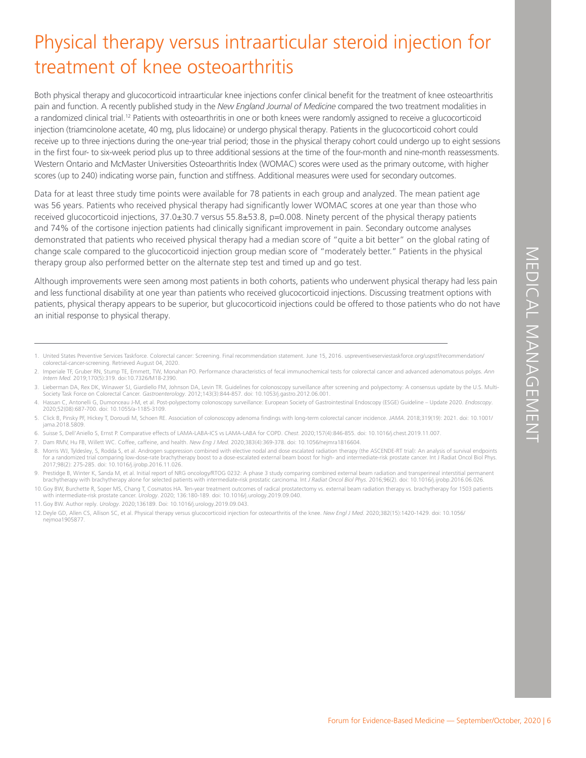# Physical therapy versus intraarticular steroid injection for treatment of knee osteoarthritis

Both physical therapy and glucocorticoid intraarticular knee injections confer clinical benefit for the treatment of knee osteoarthritis pain and function. A recently published study in the *New England Journal of Medicine* compared the two treatment modalities in a randomized clinical trial.<sup>12</sup> Patients with osteoarthritis in one or both knees were randomly assigned to receive a glucocorticoid injection (triamcinolone acetate, 40 mg, plus lidocaine) or undergo physical therapy. Patients in the glucocorticoid cohort could receive up to three injections during the one-year trial period; those in the physical therapy cohort could undergo up to eight sessions in the first four- to six-week period plus up to three additional sessions at the time of the four-month and nine-month reassessments. Western Ontario and McMaster Universities Osteoarthritis Index (WOMAC) scores were used as the primary outcome, with higher scores (up to 240) indicating worse pain, function and stiffness. Additional measures were used for secondary outcomes.

Data for at least three study time points were available for 78 patients in each group and analyzed. The mean patient age was 56 years. Patients who received physical therapy had significantly lower WOMAC scores at one year than those who received glucocorticoid injections, 37.0±30.7 versus 55.8±53.8, p=0.008. Ninety percent of the physical therapy patients and 74% of the cortisone injection patients had clinically significant improvement in pain. Secondary outcome analyses demonstrated that patients who received physical therapy had a median score of "quite a bit better" on the global rating of change scale compared to the glucocorticoid injection group median score of "moderately better." Patients in the physical therapy group also performed better on the alternate step test and timed up and go test.

Inderately better. "" Patients in the physical<br>
who underwent physical therapy had less pain<br>
Injections. Discussing treatment options with<br>
Id be offered to those patients who do not have<br>
2016. supremuthesenvistakdore o Although improvements were seen among most patients in both cohorts, patients who underwent physical therapy had less pain and less functional disability at one year than patients who received glucocorticoid injections. Discussing treatment options with patients, physical therapy appears to be superior, but glucocorticoid injections could be offered to those patients who do not have an initial response to physical therapy.

- 5. Click B, Pinsky PF, Hickey T, Doroudi M, Schoen RE. Association of colonoscopy adenoma findings with long-term colorectal cancer incidence. *JAMA*. 2018;319(19): 2021. doi: 10.1001/ jama.2018.5809.
- 6. Suisse S, Dell'Aniello S, Ernst P. Comparative effects of LAMA-LABA-ICS vs LAMA-LABA for COPD. *Chest*. 2020;157(4):846-855. doi: 10.1016/j.chest.2019.11.007.
- 7. Dam RMV, Hu FB, Willett WC. Coffee, caffeine, and health. *New Eng J Med.* 2020;383(4):369-378. doi: 10.1056/nejmra1816604.
- 8. Morris WJ, Tyldesley, S, Rodda S, et al. Androgen suppression combined with elective nodal and dose escalated radiation therapy (the ASCENDE-RT trial): An analysis of survival endpoints for a randomized trial comparing low-dose-rate brachytherapy boost to a dose-escalated external beam boost for high- and intermediate-risk prostate cancer. Int J Radiat Oncol Biol Phys. 2017;98(2): 275-285. doi: 10.1016/j.ijrobp.2016.11.026.
- 9. Prestidge B, Winter K, Sanda M, et al. Initial report of NRG oncology/RTOG 0232: A phase 3 study comparing combined external beam radiation and transperineal interstitial permanent<br>brachytherapy with brachytherapy alone
- 10.Goy BW, Burchette R, Soper MS, Chang T, Cosmatos HA. Ten-year treatment outcomes of radical prostatectomy vs. external beam radiation therapy vs. brachytherapy for 1503 patients with intermediate-risk prostate cancer. *Urology*. 2020; 136:180-189. doi: 10.1016/j.urology.2019.09.040.
- 11.Goy BW. Author reply. *Urology*. 2020;136189. Doi: 10.1016/j.urology.2019.09.043.

l

12.Deyle GD, Allen CS, Allison SC, et al. Physical therapy versus glucocorticoid injection for osteoarthritis of the knee. *New Engl J Med.* 2020;382(15):1420-1429. doi: 10.1056/ nejmoa1905877.

<sup>1.</sup> United States Preventive Services Taskforce. Colorectal cancer: Screening. Final recommendation statement. June 15, 2016. uspreventiveserviestaskforce.org/uspstf/recommendation/ colorectal-cancer-screening. Retrieved August 04, 2020.

<sup>2.</sup> Imperiale TF, Gruber RN, Stump TE, Emmett, TW, Monahan PO. Performance characteristics of fecal immunochemical tests for colorectal cancer and advanced adenomatous polyps. *Ann Intern Med.* 2019;170(5):319. doi:10.7326/M18-2390.

<sup>3.</sup> Lieberman DA, Rex DK, Winawer SJ, Giardiello FM, Johnson DA, Levin TR. Guidelines for colonoscopy surveillance after screening and polypectomy: A consensus update by the U.S. Multi-Society Task Force on Colorectal Cancer. *Gastroenterology*. 2012;143(3):844-857. doi: 10.1053/j.gastro.2012.06.001.

<sup>4.</sup> Hassan C, Antonelli G, Dumonceau J-M, et al. Post-polypectomy colonoscopy surveillance: European Society of Gastrointestinal Endoscopy (ESGE) Guideline – Update 2020. *Endoscopy*. 2020;52(08):687-700. doi: 10.1055/a-1185-3109.